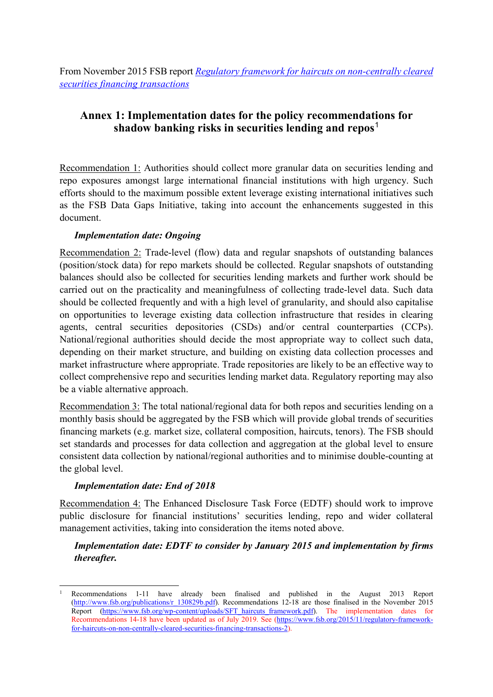From November 2015 FSB report *[Regulatory framework for haircuts on non-centrally cleared](https://www.fsb.org/2019/07/regulatory-framework-for-haircuts-on-non-centrally-cleared-securities-financing-transactions/)  [securities financing transactions](https://www.fsb.org/2019/07/regulatory-framework-for-haircuts-on-non-centrally-cleared-securities-financing-transactions/)*

# **Annex 1: Implementation dates for the policy recommendations for shadow banking risks in securities lending and repos**[1](#page-0-0)

Recommendation 1: Authorities should collect more granular data on securities lending and repo exposures amongst large international financial institutions with high urgency. Such efforts should to the maximum possible extent leverage existing international initiatives such as the FSB Data Gaps Initiative, taking into account the enhancements suggested in this document.

### *Implementation date: Ongoing*

Recommendation 2: Trade-level (flow) data and regular snapshots of outstanding balances (position/stock data) for repo markets should be collected. Regular snapshots of outstanding balances should also be collected for securities lending markets and further work should be carried out on the practicality and meaningfulness of collecting trade-level data. Such data should be collected frequently and with a high level of granularity, and should also capitalise on opportunities to leverage existing data collection infrastructure that resides in clearing agents, central securities depositories (CSDs) and/or central counterparties (CCPs). National/regional authorities should decide the most appropriate way to collect such data, depending on their market structure, and building on existing data collection processes and market infrastructure where appropriate. Trade repositories are likely to be an effective way to collect comprehensive repo and securities lending market data. Regulatory reporting may also be a viable alternative approach.

Recommendation 3: The total national/regional data for both repos and securities lending on a monthly basis should be aggregated by the FSB which will provide global trends of securities financing markets (e.g. market size, collateral composition, haircuts, tenors). The FSB should set standards and processes for data collection and aggregation at the global level to ensure consistent data collection by national/regional authorities and to minimise double-counting at the global level.

## *Implementation date: End of 2018*

Recommendation 4: The Enhanced Disclosure Task Force (EDTF) should work to improve public disclosure for financial institutions' securities lending, repo and wider collateral management activities, taking into consideration the items noted above.

### *Implementation date: EDTF to consider by January 2015 and implementation by firms thereafter.*

<span id="page-0-0"></span><sup>-</sup><sup>1</sup> Recommendations 1-11 have already been finalised and published in the August 2013 Report [\(http://www.fsb.org/publications/r\\_130829b.pdf\)](http://www.fsb.org/publications/r_130829b.pdf). Recommendations 12-18 are those finalised in the November 2015 Report [\(https://www.fsb.org/wp-content/uploads/SFT\\_haircuts\\_framework.pdf\)](https://www.fsb.org/wp-content/uploads/SFT_haircuts_framework.pdf). The implementation dates for Recommendations 14-18 have been updated as of July 2019. See [\(https://www.fsb.org/2015/11/regulatory-framework](https://www.fsb.org/2015/11/regulatory-framework-for-haircuts-on-non-centrally-cleared-securities-financing-transactions-2)[for-haircuts-on-non-centrally-cleared-securities-financing-transactions-2\)](https://www.fsb.org/2015/11/regulatory-framework-for-haircuts-on-non-centrally-cleared-securities-financing-transactions-2).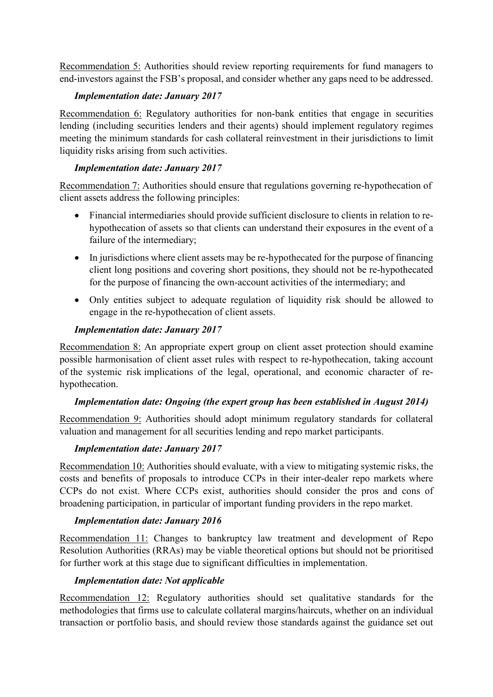Recommendation 5: Authorities should review reporting requirements for fund managers to end-investors against the FSB's proposal, and consider whether any gaps need to be addressed.

### *Implementation date: January 2017*

Recommendation 6: Regulatory authorities for non-bank entities that engage in securities lending (including securities lenders and their agents) should implement regulatory regimes meeting the minimum standards for cash collateral reinvestment in their jurisdictions to limit liquidity risks arising from such activities.

### *Implementation date: January 2017*

Recommendation 7: Authorities should ensure that regulations governing re-hypothecation of client assets address the following principles:

- Financial intermediaries should provide sufficient disclosure to clients in relation to rehypothecation of assets so that clients can understand their exposures in the event of a failure of the intermediary;
- In jurisdictions where client assets may be re-hypothecated for the purpose of financing client long positions and covering short positions, they should not be re-hypothecated for the purpose of financing the own-account activities of the intermediary; and
- Only entities subject to adequate regulation of liquidity risk should be allowed to engage in the re-hypothecation of client assets.

### *Implementation date: January 2017*

Recommendation 8: An appropriate expert group on client asset protection should examine possible harmonisation of client asset rules with respect to re-hypothecation, taking account of the systemic risk implications of the legal, operational, and economic character of rehypothecation.

### *Implementation date: Ongoing (the expert group has been established in August 2014)*

Recommendation 9: Authorities should adopt minimum regulatory standards for collateral valuation and management for all securities lending and repo market participants.

### *Implementation date: January 2017*

Recommendation 10: Authorities should evaluate, with a view to mitigating systemic risks, the costs and benefits of proposals to introduce CCPs in their inter-dealer repo markets where CCPs do not exist. Where CCPs exist, authorities should consider the pros and cons of broadening participation, in particular of important funding providers in the repo market.

### *Implementation date: January 2016*

Recommendation 11: Changes to bankruptcy law treatment and development of Repo Resolution Authorities (RRAs) may be viable theoretical options but should not be prioritised for further work at this stage due to significant difficulties in implementation.

### *Implementation date: Not applicable*

Recommendation 12: Regulatory authorities should set qualitative standards for the methodologies that firms use to calculate collateral margins/haircuts, whether on an individual transaction or portfolio basis, and should review those standards against the guidance set out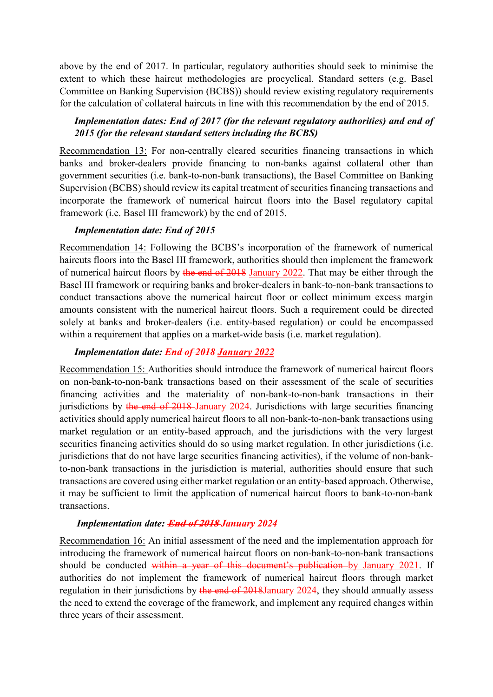above by the end of 2017. In particular, regulatory authorities should seek to minimise the extent to which these haircut methodologies are procyclical. Standard setters (e.g. Basel Committee on Banking Supervision (BCBS)) should review existing regulatory requirements for the calculation of collateral haircuts in line with this recommendation by the end of 2015.

### *Implementation dates: End of 2017 (for the relevant regulatory authorities) and end of 2015 (for the relevant standard setters including the BCBS)*

Recommendation 13: For non-centrally cleared securities financing transactions in which banks and broker-dealers provide financing to non-banks against collateral other than government securities (i.e. bank-to-non-bank transactions), the Basel Committee on Banking Supervision (BCBS) should review its capital treatment of securities financing transactions and incorporate the framework of numerical haircut floors into the Basel regulatory capital framework (i.e. Basel III framework) by the end of 2015.

### *Implementation date: End of 2015*

Recommendation 14: Following the BCBS's incorporation of the framework of numerical haircuts floors into the Basel III framework, authorities should then implement the framework of numerical haircut floors by the end of 2018 January 2022. That may be either through the Basel III framework or requiring banks and broker-dealers in bank-to-non-bank transactions to conduct transactions above the numerical haircut floor or collect minimum excess margin amounts consistent with the numerical haircut floors. Such a requirement could be directed solely at banks and broker-dealers (i.e. entity-based regulation) or could be encompassed within a requirement that applies on a market-wide basis (i.e. market regulation).

### *Implementation date: End of 2018 January 2022*

Recommendation 15: Authorities should introduce the framework of numerical haircut floors on non-bank-to-non-bank transactions based on their assessment of the scale of securities financing activities and the materiality of non-bank-to-non-bank transactions in their jurisdictions by the end of 2018 January 2024. Jurisdictions with large securities financing activities should apply numerical haircut floors to all non-bank-to-non-bank transactions using market regulation or an entity-based approach, and the jurisdictions with the very largest securities financing activities should do so using market regulation. In other jurisdictions (i.e. jurisdictions that do not have large securities financing activities), if the volume of non-bankto-non-bank transactions in the jurisdiction is material, authorities should ensure that such transactions are covered using either market regulation or an entity-based approach. Otherwise, it may be sufficient to limit the application of numerical haircut floors to bank-to-non-bank transactions.

#### *Implementation date:* **End of 2018** *January 2024*

Recommendation 16: An initial assessment of the need and the implementation approach for introducing the framework of numerical haircut floors on non-bank-to-non-bank transactions should be conducted within a year of this document's publication by January 2021. If authorities do not implement the framework of numerical haircut floors through market regulation in their jurisdictions by the end of 2018January 2024, they should annually assess the need to extend the coverage of the framework, and implement any required changes within three years of their assessment.